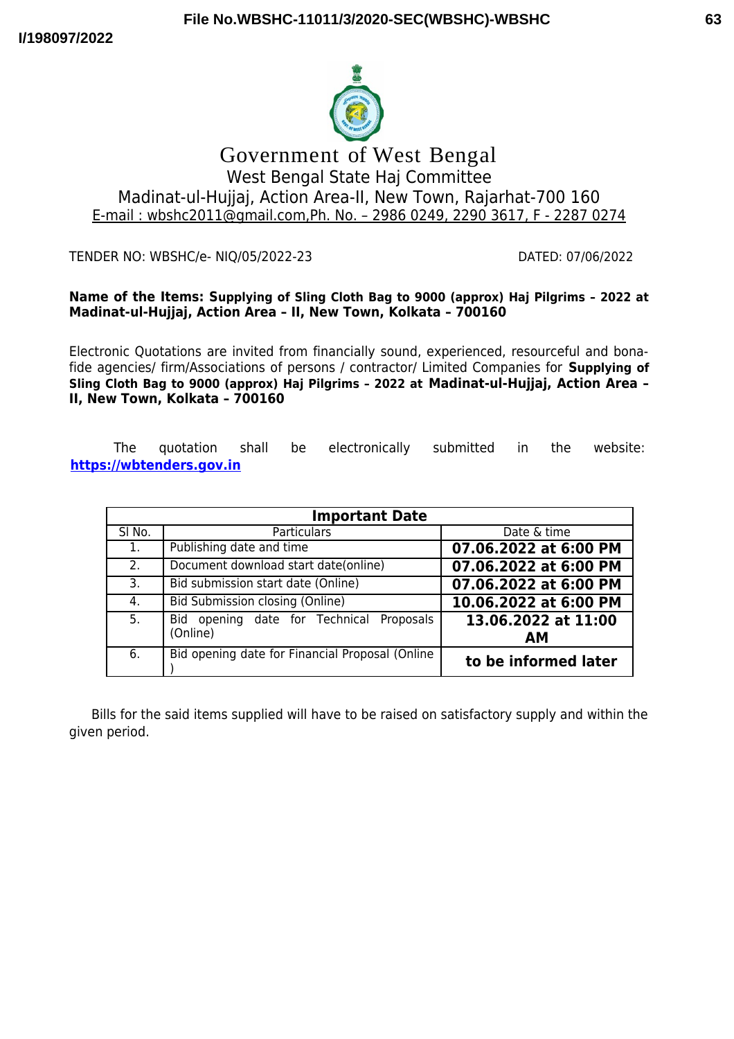

# Government of West Bengal West Bengal State Haj Committee Madinat-ul-Hujjaj, Action Area-II, New Town, Rajarhat-700 160 E-mail : wbshc2011@gmail.com,Ph. No. – 2986 0249, 2290 3617, F - 2287 0274

TENDER NO: WBSHC/e- NIQ/05/2022-23 DATED: 07/06/2022

#### **Name of the Items: Supplying of Sling Cloth Bag to 9000 (approx) Haj Pilgrims – 2022 at Madinat-ul-Hujjaj, Action Area – II, New Town, Kolkata – 700160**

Electronic Quotations are invited from financially sound, experienced, resourceful and bonafide agencies/ firm/Associations of persons / contractor/ Limited Companies for **Supplying of Sling Cloth Bag to 9000 (approx) Haj Pilgrims – 2022 at Madinat-ul-Hujjaj, Action Area – II, New Town, Kolkata – 700160**

The quotation shall be electronically submitted in the website: **[https://wbtenders.gov.in](https://wbtenders.gov.in/)**

| <b>Important Date</b> |                                                         |                                  |
|-----------------------|---------------------------------------------------------|----------------------------------|
| SI No.                | <b>Particulars</b>                                      | Date & time                      |
| 1.                    | Publishing date and time                                | 07.06.2022 at 6:00 PM            |
| 2.                    | Document download start date(online)                    | 07.06.2022 at 6:00 PM            |
| 3.                    | Bid submission start date (Online)                      | 07.06.2022 at 6:00 PM            |
| 4.                    | <b>Bid Submission closing (Online)</b>                  | 10.06.2022 at 6:00 PM            |
| 5.                    | opening date for Technical Proposals<br>Bid<br>(Online) | 13.06.2022 at 11:00<br><b>AM</b> |
| 6.                    | Bid opening date for Financial Proposal (Online         | to be informed later             |

Bills for the said items supplied will have to be raised on satisfactory supply and within the given period.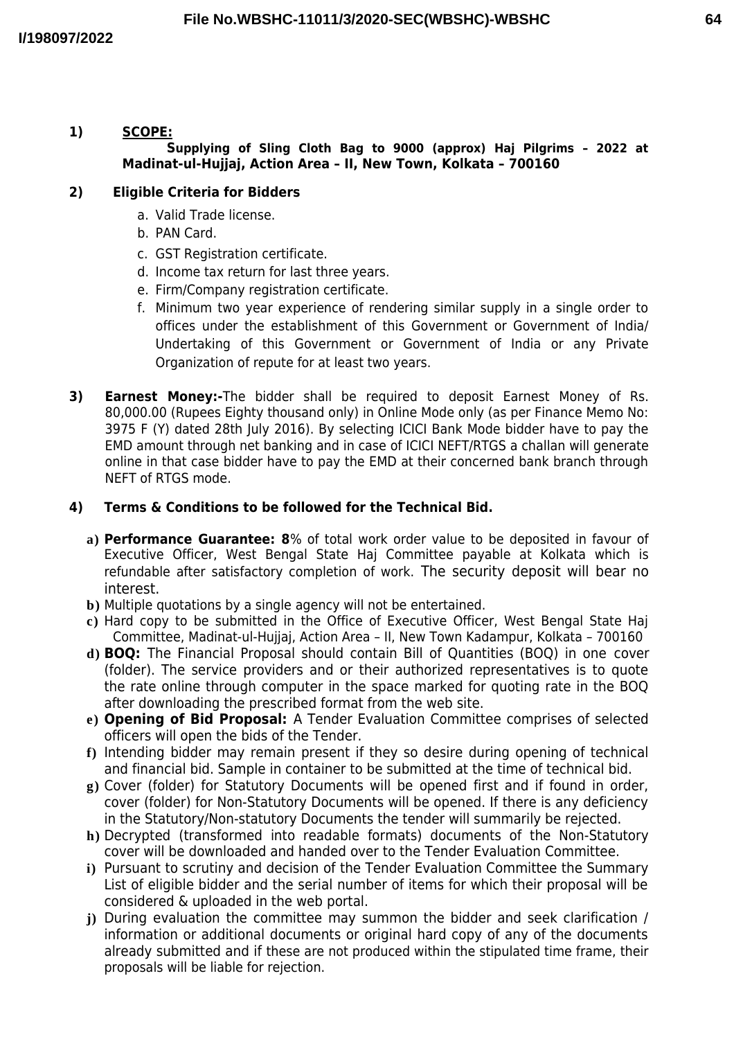### **1) SCOPE: Supplying of Sling Cloth Bag to 9000 (approx) Haj Pilgrims – 2022 at Madinat-ul-Hujjaj, Action Area – II, New Town, Kolkata – 700160**

# **2) Eligible Criteria for Bidders**

- a. Valid Trade license.
- b. PAN Card.
- c. GST Registration certificate.
- d. Income tax return for last three years.
- e. Firm/Company registration certificate.
- f. Minimum two year experience of rendering similar supply in a single order to offices under the establishment of this Government or Government of India/ Undertaking of this Government or Government of India or any Private Organization of repute for at least two years.
- **3) Earnest Money:-**The bidder shall be required to deposit Earnest Money of Rs. 80,000.00 (Rupees Eighty thousand only) in Online Mode only (as per Finance Memo No: 3975 F (Y) dated 28th July 2016). By selecting ICICI Bank Mode bidder have to pay the EMD amount through net banking and in case of ICICI NEFT/RTGS a challan will generate online in that case bidder have to pay the EMD at their concerned bank branch through NEFT of RTGS mode.

# **4) Terms & Conditions to be followed for the Technical Bid.**

- **a) Performance Guarantee: 8**% of total work order value to be deposited in favour of Executive Officer, West Bengal State Haj Committee payable at Kolkata which is refundable after satisfactory completion of work. The security deposit will bear no interest.
- **b)** Multiple quotations by a single agency will not be entertained.
- **c)** Hard copy to be submitted in the Office of Executive Officer, West Bengal State Haj Committee, Madinat-ul-Hujjaj, Action Area – II, New Town Kadampur, Kolkata – 700160
- **d) BOQ:** The Financial Proposal should contain Bill of Quantities (BOQ) in one cover (folder). The service providers and or their authorized representatives is to quote the rate online through computer in the space marked for quoting rate in the BOQ after downloading the prescribed format from the web site.
- **e) Opening of Bid Proposal:** A Tender Evaluation Committee comprises of selected officers will open the bids of the Tender.
- **f)** Intending bidder may remain present if they so desire during opening of technical and financial bid. Sample in container to be submitted at the time of technical bid.
- **g)** Cover (folder) for Statutory Documents will be opened first and if found in order, cover (folder) for Non-Statutory Documents will be opened. If there is any deficiency in the Statutory/Non-statutory Documents the tender will summarily be rejected.
- **h)** Decrypted (transformed into readable formats) documents of the Non-Statutory cover will be downloaded and handed over to the Tender Evaluation Committee.
- **i)** Pursuant to scrutiny and decision of the Tender Evaluation Committee the Summary List of eligible bidder and the serial number of items for which their proposal will be considered & uploaded in the web portal.
- **j)** During evaluation the committee may summon the bidder and seek clarification / information or additional documents or original hard copy of any of the documents already submitted and if these are not produced within the stipulated time frame, their proposals will be liable for rejection.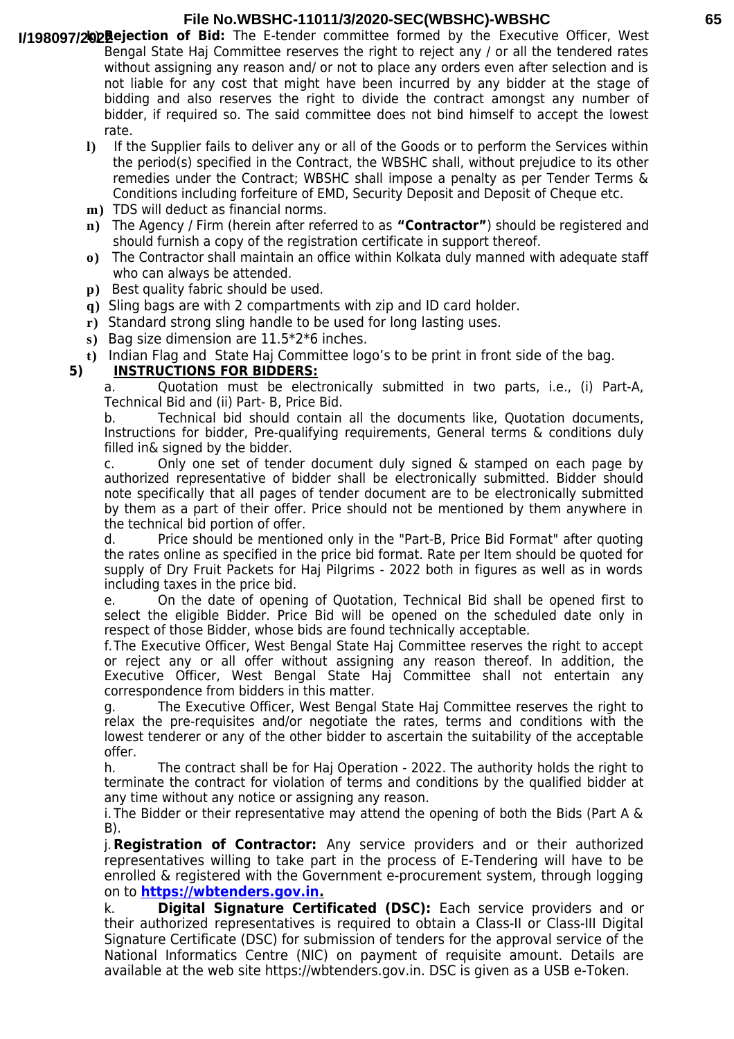#### **File No.WBSHC-11011/3/2020-SEC(WBSHC)-WBSHC**

- **I/198097/2022 ejection of Bid:** The E-tender committee formed by the Executive Officer, West Bengal State Haj Committee reserves the right to reject any / or all the tendered rates without assigning any reason and/ or not to place any orders even after selection and is not liable for any cost that might have been incurred by any bidder at the stage of bidding and also reserves the right to divide the contract amongst any number of bidder, if required so. The said committee does not bind himself to accept the lowest rate.
	- **l)** If the Supplier fails to deliver any or all of the Goods or to perform the Services within the period(s) specified in the Contract, the WBSHC shall, without prejudice to its other remedies under the Contract; WBSHC shall impose a penalty as per Tender Terms & Conditions including forfeiture of EMD, Security Deposit and Deposit of Cheque etc.
	- **m)** TDS will deduct as financial norms.
	- **n)** The Agency / Firm (herein after referred to as **"Contractor"**) should be registered and should furnish a copy of the registration certificate in support thereof.
	- **o)** The Contractor shall maintain an office within Kolkata duly manned with adequate staff who can always be attended.
	- **p)** Best quality fabric should be used.
	- **q)** Sling bags are with 2 compartments with zip and ID card holder.
	- **r)** Standard strong sling handle to be used for long lasting uses.
	- **s)** Bag size dimension are 11.5\*2\*6 inches.
	- **t)** Indian Flag and State Haj Committee logo's to be print in front side of the bag.

### **5) INSTRUCTIONS FOR BIDDERS:**

a. Quotation must be electronically submitted in two parts, i.e., (i) Part-A, Technical Bid and (ii) Part- B, Price Bid.

b. Technical bid should contain all the documents like, Quotation documents, Instructions for bidder, Pre-qualifying requirements, General terms & conditions duly filled in& signed by the bidder.

c. Only one set of tender document duly signed & stamped on each page by authorized representative of bidder shall be electronically submitted. Bidder should note specifically that all pages of tender document are to be electronically submitted by them as a part of their offer. Price should not be mentioned by them anywhere in the technical bid portion of offer.

d. Price should be mentioned only in the "Part-B, Price Bid Format" after quoting the rates online as specified in the price bid format. Rate per Item should be quoted for supply of Dry Fruit Packets for Haj Pilgrims - 2022 both in figures as well as in words including taxes in the price bid.

e. On the date of opening of Quotation, Technical Bid shall be opened first to select the eligible Bidder. Price Bid will be opened on the scheduled date only in respect of those Bidder, whose bids are found technically acceptable.

f.The Executive Officer, West Bengal State Haj Committee reserves the right to accept or reject any or all offer without assigning any reason thereof. In addition, the Executive Officer, West Bengal State Haj Committee shall not entertain any correspondence from bidders in this matter.

g. The Executive Officer, West Bengal State Haj Committee reserves the right to relax the pre-requisites and/or negotiate the rates, terms and conditions with the lowest tenderer or any of the other bidder to ascertain the suitability of the acceptable offer.

h. The contract shall be for Haj Operation - 2022. The authority holds the right to terminate the contract for violation of terms and conditions by the qualified bidder at any time without any notice or assigning any reason.

i. The Bidder or their representative may attend the opening of both the Bids (Part A & B).

j.**Registration of Contractor:** Any service providers and or their authorized representatives willing to take part in the process of E-Tendering will have to be enrolled & registered with the Government e-procurement system, through logging on to **[https://wbtenders.gov.in.](https://wbtenders.gov.in/)**

k. **Digital Signature Certificated (DSC):** Each service providers and or their authorized representatives is required to obtain a Class-II or Class-III Digital Signature Certificate (DSC) for submission of tenders for the approval service of the National Informatics Centre (NIC) on payment of requisite amount. Details are available at the web site https://wbtenders.gov.in. DSC is given as a USB e-Token.